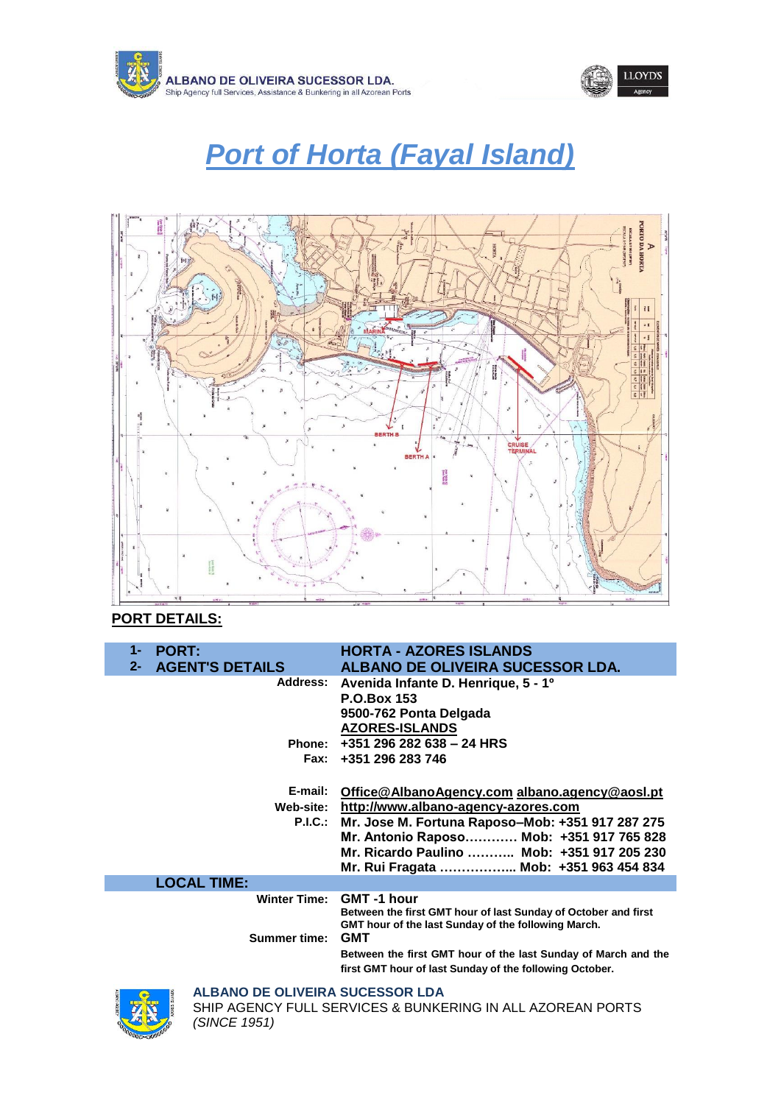



# *Port of Horta (Fayal Island)*



## **PORT DETAILS:**

| $1 -$<br><b>PORT:</b>           | <b>HORTA - AZORES ISLANDS</b>                                                                                                              |
|---------------------------------|--------------------------------------------------------------------------------------------------------------------------------------------|
| <b>AGENT'S DETAILS</b><br>$2 -$ | ALBANO DE OLIVEIRA SUCESSOR LDA.                                                                                                           |
|                                 | Address: Avenida Infante D. Henrique, 5 - 1 <sup>o</sup><br><b>P.O.Box 153</b><br>9500-762 Ponta Delgada<br><b>AZORES-ISLANDS</b>          |
|                                 | Phone: $+351$ 296 282 638 - 24 HRS                                                                                                         |
|                                 | Fax: +351 296 283 746                                                                                                                      |
|                                 |                                                                                                                                            |
| E-mail:                         | Office@AlbanoAgency.com albano.agency@aosl.pt                                                                                              |
|                                 | Web-site: http://www.albano-agency-azores.com                                                                                              |
|                                 | P.I.C.: Mr. Jose M. Fortuna Raposo-Mob: +351 917 287 275                                                                                   |
|                                 | Mr. Antonio Raposo Mob: +351 917 765 828                                                                                                   |
|                                 | Mr. Ricardo Paulino  Mob: +351 917 205 230                                                                                                 |
|                                 | Mr. Rui Fragata  Mob: +351 963 454 834                                                                                                     |
| <b>LOCAL TIME:</b>              |                                                                                                                                            |
| <b>Winter Time:</b>             | GMT-1 hour<br>Between the first GMT hour of last Sunday of October and first<br><b>GMT</b> hour of the last Sunday of the following March. |
| <b>Summer time:</b>             | <b>GMT</b>                                                                                                                                 |
|                                 | Between the first GMT hour of the last Sunday of March and the<br>first GMT hour of last Sunday of the following October.                  |
| ALDANA BE ALIVEIRA GUAFOCAR LRA |                                                                                                                                            |



**ALBANO DE OLIVEIRA SUCESSOR LDA**

SHIP AGENCY FULL SERVICES & BUNKERING IN ALL AZOREAN PORTS *(SINCE 1951)*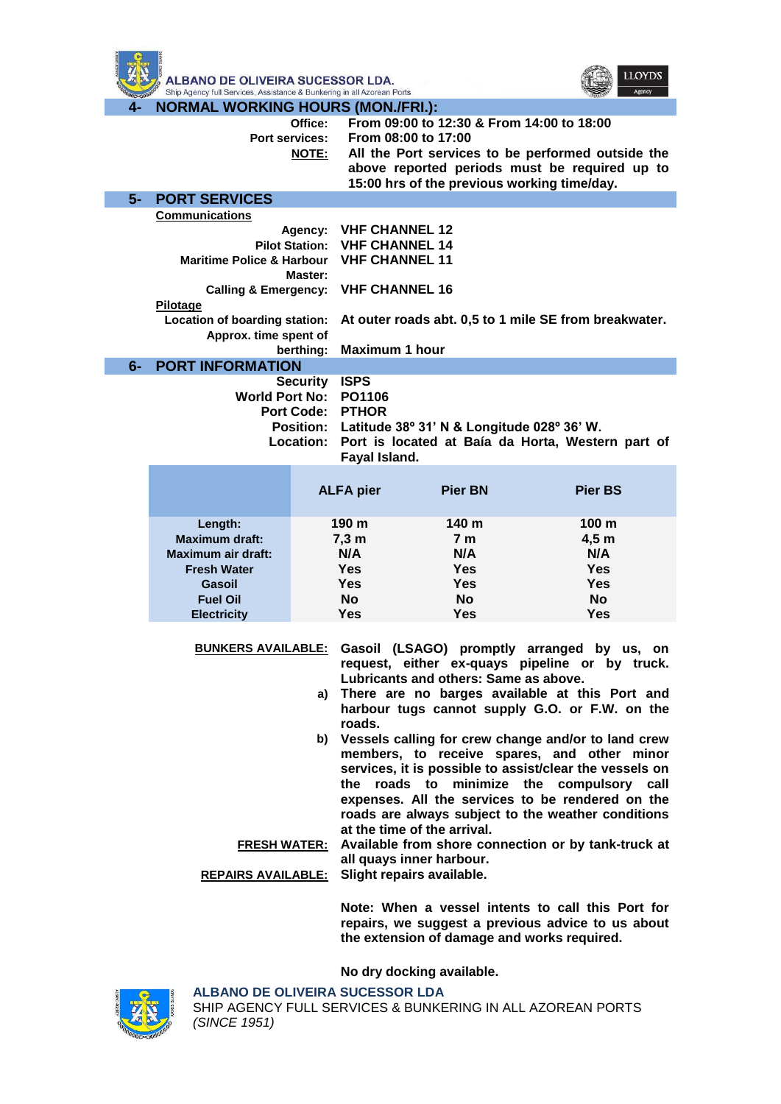



**4- NORMAL WORKING HOURS (MON./FRI.):**

| 4-   | NUKMAL WUKKING HUUKS (MUN./FKI.):    |                |                                                       |                                                      |                                                             |
|------|--------------------------------------|----------------|-------------------------------------------------------|------------------------------------------------------|-------------------------------------------------------------|
|      |                                      | Office:        |                                                       | From 09:00 to 12:30 & From 14:00 to 18:00            |                                                             |
|      |                                      | Port services: |                                                       | From 08:00 to 17:00                                  |                                                             |
|      |                                      | <b>NOTE:</b>   |                                                       |                                                      | All the Port services to be performed outside the           |
|      |                                      |                |                                                       |                                                      | above reported periods must be required up to               |
|      |                                      |                |                                                       | 15:00 hrs of the previous working time/day.          |                                                             |
| $5-$ | <b>PORT SERVICES</b>                 |                |                                                       |                                                      |                                                             |
|      | <b>Communications</b>                |                |                                                       |                                                      |                                                             |
|      |                                      |                | Agency: VHF CHANNEL 12                                |                                                      |                                                             |
|      |                                      |                | Pilot Station: VHF CHANNEL 14                         |                                                      |                                                             |
|      | <b>Maritime Police &amp; Harbour</b> |                | <b>VHF CHANNEL 11</b>                                 |                                                      |                                                             |
|      |                                      | Master:        |                                                       |                                                      |                                                             |
|      | Calling & Emergency: VHF CHANNEL 16  |                |                                                       |                                                      |                                                             |
|      | Pilotage                             |                |                                                       |                                                      |                                                             |
|      | Location of boarding station:        |                | At outer roads abt. 0,5 to 1 mile SE from breakwater. |                                                      |                                                             |
|      | Approx. time spent of                |                |                                                       |                                                      |                                                             |
|      |                                      | berthing:      | <b>Maximum 1 hour</b>                                 |                                                      |                                                             |
| $6-$ | <b>PORT INFORMATION</b>              |                |                                                       |                                                      |                                                             |
|      |                                      | Security ISPS  |                                                       |                                                      |                                                             |
|      |                                      |                | World Port No: PO1106                                 |                                                      |                                                             |
|      |                                      |                | <b>Port Code: PTHOR</b>                               |                                                      |                                                             |
|      |                                      |                |                                                       | Position: Latitude 38° 31' N & Longitude 028° 36' W. |                                                             |
|      |                                      |                |                                                       |                                                      | Location: Port is located at Baía da Horta, Western part of |
|      |                                      |                | Fayal Island.                                         |                                                      |                                                             |
|      |                                      |                |                                                       |                                                      |                                                             |
|      |                                      |                | <b>ALFA pier</b>                                      | <b>Pier BN</b>                                       | <b>Pier BS</b>                                              |
|      |                                      |                |                                                       |                                                      |                                                             |
|      | Length:                              |                | 190 m                                                 | 140 m                                                | 100 <sub>m</sub>                                            |
|      | <b>Maximum draft:</b>                |                | 7,3 m                                                 | 7 <sub>m</sub>                                       | 4,5m                                                        |
|      | <b>Maximum air draft:</b>            |                | N/A                                                   | N/A                                                  | N/A                                                         |
|      | <b>Fresh Water</b>                   |                | <b>Yes</b>                                            | <b>Yes</b>                                           | <b>Yes</b>                                                  |
|      | Gasoil                               |                | <b>Yes</b>                                            | <b>Yes</b>                                           | <b>Yes</b>                                                  |
|      | <b>Fuel Oil</b>                      |                | <b>No</b>                                             | <b>No</b>                                            | <b>No</b>                                                   |
|      | <b>Electricity</b>                   |                | <b>Yes</b>                                            | <b>Yes</b>                                           | <b>Yes</b>                                                  |
|      |                                      |                |                                                       |                                                      |                                                             |
|      | <u>BUNKERS AVAILABLE:</u>            |                |                                                       |                                                      | Gasoil (LSAGO) promptly arranged by us, on                  |
|      |                                      |                |                                                       |                                                      | request, either ex-quays pipeline or by truck.              |
|      |                                      |                |                                                       | Lubricants and others: Same as above.                |                                                             |
|      |                                      |                |                                                       |                                                      | a) There are no barges available at this Port and           |
|      |                                      |                |                                                       |                                                      | harbour tugs cannot supply G.O. or F.W. on the              |
|      |                                      |                | roads.                                                |                                                      |                                                             |
|      |                                      |                |                                                       |                                                      | b) Vessels calling for crew change and/or to land crew      |
|      |                                      |                |                                                       |                                                      | members, to receive spares, and other minor                 |
|      |                                      |                |                                                       |                                                      | services, it is possible to assist/clear the vessels on     |
|      |                                      |                |                                                       |                                                      | the roads to minimize the compulsory call                   |
|      |                                      |                |                                                       |                                                      | expenses. All the services to be rendered on the            |
|      |                                      |                |                                                       |                                                      | roads are always subject to the weather conditions          |

**at the time of the arrival. FRESH WATER: Available from shore connection or by tank-truck at all quays inner harbour.** 

**REPAIRS AVAILABLE: Slight repairs available.**

**Note: When a vessel intents to call this Port for repairs, we suggest a previous advice to us about the extension of damage and works required.** 

**No dry docking available.**



**ALBANO DE OLIVEIRA SUCESSOR LDA** SHIP AGENCY FULL SERVICES & BUNKERING IN ALL AZOREAN PORTS *(SINCE 1951)*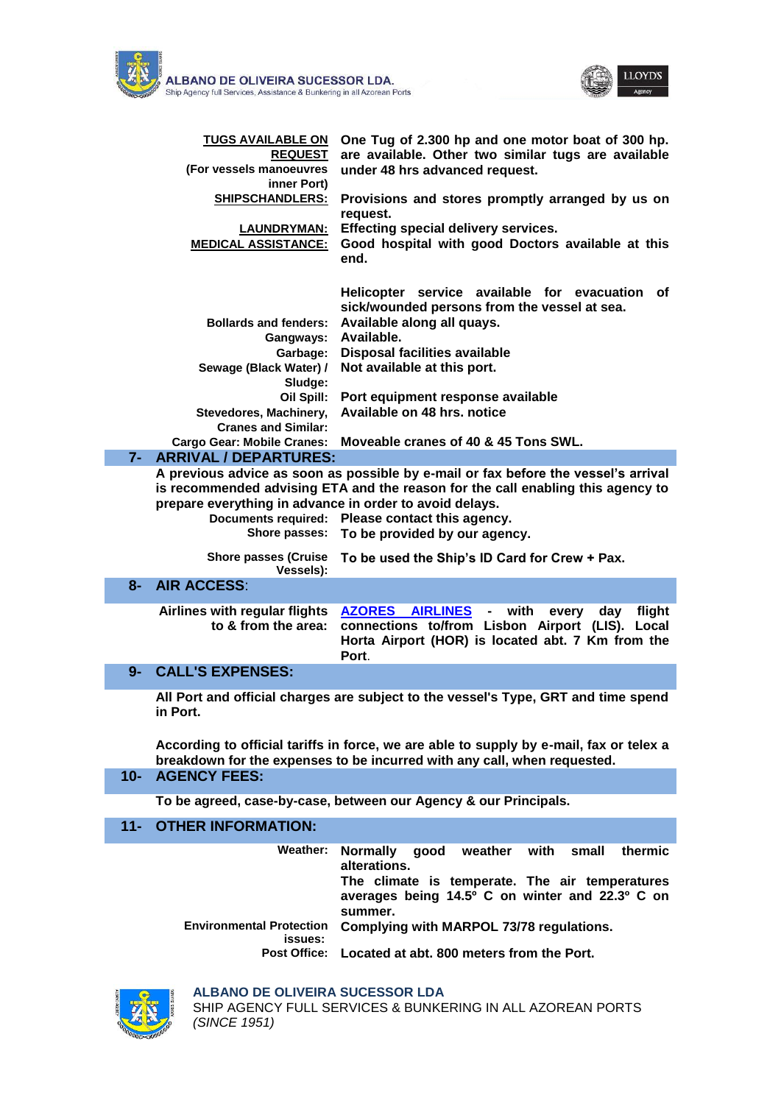



| TUGS AVAILABLE ON<br><b>REQUEST</b><br>(For vessels manoeuvres<br>inner Port) | One Tug of 2.300 hp and one motor boat of 300 hp.<br>are available. Other two similar tugs are available<br>under 48 hrs advanced request. |
|-------------------------------------------------------------------------------|--------------------------------------------------------------------------------------------------------------------------------------------|
| <b>SHIPSCHANDLERS:</b>                                                        | Provisions and stores promptly arranged by us on<br>request.                                                                               |
| <b>LAUNDRYMAN:</b>                                                            | Effecting special delivery services.                                                                                                       |
| <b>MEDICAL ASSISTANCE:</b>                                                    | Good hospital with good Doctors available at this<br>end.                                                                                  |
|                                                                               | Helicopter service available for evacuation of<br>sick/wounded persons from the vessel at sea.                                             |
| <b>Bollards and fenders:</b>                                                  | Available along all quays.                                                                                                                 |
| Gangways: Available.                                                          |                                                                                                                                            |
| Garbage:                                                                      | Disposal facilities available                                                                                                              |
| Sewage (Black Water) /<br>Sludge:                                             | Not available at this port.                                                                                                                |
| Oil Spill:                                                                    | Port equipment response available                                                                                                          |
| Stevedores, Machinery,<br><b>Cranes and Similar:</b>                          | Available on 48 hrs. notice                                                                                                                |
| <b>Cargo Gear: Mobile Cranes:</b>                                             | Moveable cranes of 40 & 45 Tons SWL.                                                                                                       |
|                                                                               |                                                                                                                                            |

**7- ARRIVAL / DEPARTURES:**

**A previous advice as soon as possible by e-mail or fax before the vessel's arrival is recommended advising ETA and the reason for the call enabling this agency to prepare everything in advance in order to avoid delays.**

**Documents required: Please contact this agency.**

**Shore passes: To be provided by our agency.**

**Shore passes (Cruise To be used the Ship's ID Card for Crew + Pax. Vessels):**

#### **8- AIR ACCESS**:

**Airlines with regular flights to & from the area: AZORES AIRLINES - with every day flight connections to/from Lisbon Airport (LIS). Local Horta Airport (HOR) is located abt. 7 Km from the Port**.

### **9- CALL'S EXPENSES:**

**All Port and official charges are subject to the vessel's Type, GRT and time spend in Port.**

**According to official tariffs in force, we are able to supply by e-mail, fax or telex a breakdown for the expenses to be incurred with any call, when requested.**

#### **10- AGENCY FEES:**

**[To be agreed, case-by-case, between our Agency & our Principals.](http://www.albano-agency-azores.com/)**

#### **11- OTHER INFORMATION:**

| Weather:                                   | Normally<br>good weather with small<br>thermic<br>alterations.                                               |
|--------------------------------------------|--------------------------------------------------------------------------------------------------------------|
|                                            | The climate is temperate. The air temperatures<br>averages being 14.5° C on winter and 22.3° C on<br>summer. |
| <b>Environmental Protection</b><br>issues: | Complying with MARPOL 73/78 regulations.                                                                     |
| <b>Post Office:</b>                        | Located at abt. 800 meters from the Port.                                                                    |



#### **ALBANO DE OLIVEIRA SUCESSOR LDA**

SHIP AGENCY FULL SERVICES & BUNKERING IN ALL AZOREAN PORTS *(SINCE 1951)*